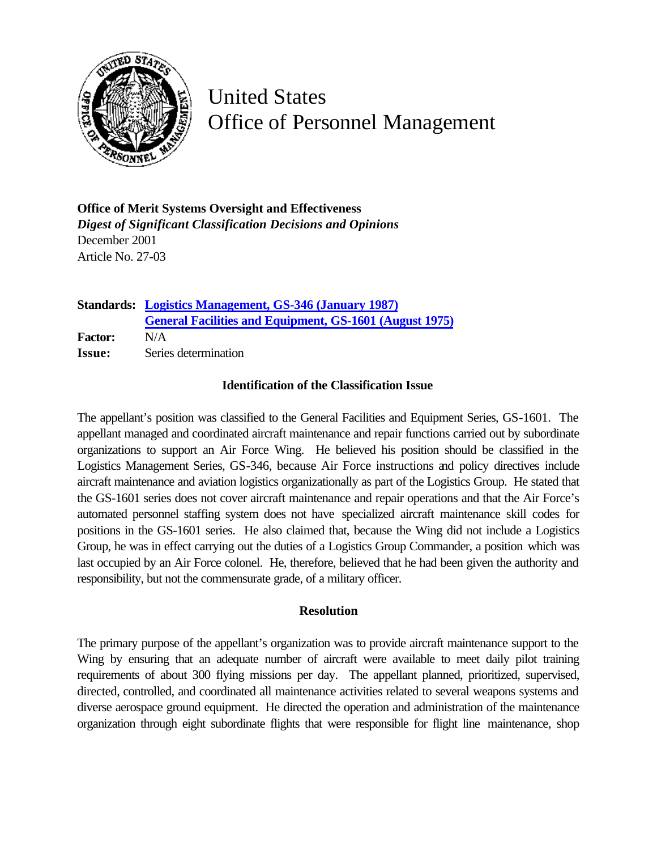

United States Office of Personnel Management

**Office of Merit Systems Oversight and Effectiveness** *Digest of Significant Classification Decisions and Opinions* December 2001 Article No. 27-03

|                | <b>Standards: Logistics Management, GS-346 (January 1987)</b>  |
|----------------|----------------------------------------------------------------|
|                | <b>General Facilities and Equipment, GS-1601 (August 1975)</b> |
| <b>Factor:</b> | N/A                                                            |
| <b>Issue:</b>  | Series determination                                           |

## **Identification of the Classification Issue**

The appellant's position was classified to the General Facilities and Equipment Series, GS-1601. The appellant managed and coordinated aircraft maintenance and repair functions carried out by subordinate organizations to support an Air Force Wing. He believed his position should be classified in the Logistics Management Series, GS-346, because Air Force instructions and policy directives include aircraft maintenance and aviation logistics organizationally as part of the Logistics Group. He stated that the GS-1601 series does not cover aircraft maintenance and repair operations and that the Air Force's automated personnel staffing system does not have specialized aircraft maintenance skill codes for positions in the GS-1601 series. He also claimed that, because the Wing did not include a Logistics Group, he was in effect carrying out the duties of a Logistics Group Commander, a position which was last occupied by an Air Force colonel. He, therefore, believed that he had been given the authority and responsibility, but not the commensurate grade, of a military officer.

## **Resolution**

The primary purpose of the appellant's organization was to provide aircraft maintenance support to the Wing by ensuring that an adequate number of aircraft were available to meet daily pilot training requirements of about 300 flying missions per day. The appellant planned, prioritized, supervised, directed, controlled, and coordinated all maintenance activities related to several weapons systems and diverse aerospace ground equipment. He directed the operation and administration of the maintenance organization through eight subordinate flights that were responsible for flight line maintenance, shop